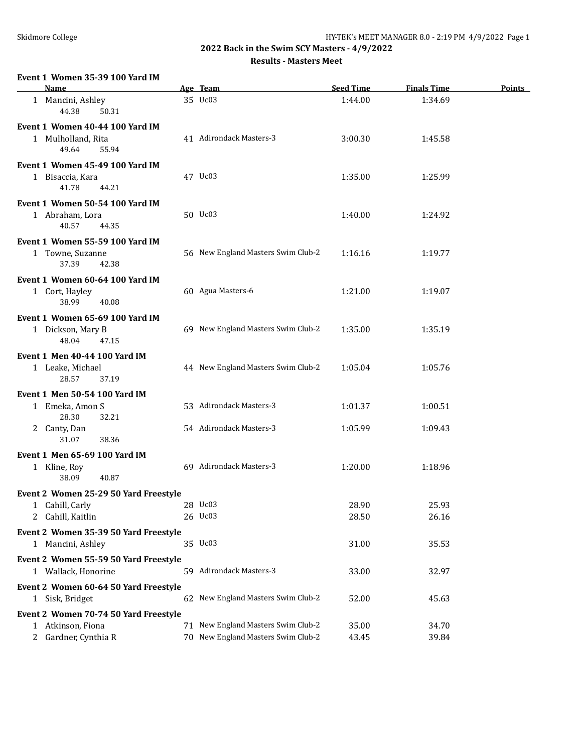**2022 Back in the Swim SCY Masters - 4/9/2022**

**Results - Masters Meet**

#### **Event 1 Women 35-39 100 Yard IM**

| <b>Name</b>                                                                                          | Age Team                                                                 | <b>Seed Time</b>   | <b>Finals Time</b> | <b>Points</b> |
|------------------------------------------------------------------------------------------------------|--------------------------------------------------------------------------|--------------------|--------------------|---------------|
| 1 Mancini, Ashley<br>44.38<br>50.31                                                                  | 35 Uc03                                                                  | 1:44.00            | 1:34.69            |               |
| Event 1 Women 40-44 100 Yard IM<br>1 Mulholland, Rita<br>49.64<br>55.94                              | 41 Adirondack Masters-3                                                  | 3:00.30            | 1:45.58            |               |
| Event 1 Women 45-49 100 Yard IM<br>1 Bisaccia, Kara<br>41.78<br>44.21                                | 47 Uc03                                                                  | 1:35.00            | 1:25.99            |               |
| Event 1 Women 50-54 100 Yard IM<br>1 Abraham, Lora<br>40.57<br>44.35                                 | 50 Uc03                                                                  | 1:40.00            | 1:24.92            |               |
| Event 1 Women 55-59 100 Yard IM<br>1 Towne, Suzanne<br>37.39<br>42.38                                | 56 New England Masters Swim Club-2                                       | 1:16.16            | 1:19.77            |               |
| Event 1 Women 60-64 100 Yard IM<br>1 Cort, Hayley<br>38.99<br>40.08                                  | 60 Agua Masters-6                                                        | 1:21.00            | 1:19.07            |               |
| Event 1 Women 65-69 100 Yard IM<br>1 Dickson, Mary B<br>48.04<br>47.15                               | 69 New England Masters Swim Club-2                                       | 1:35.00            | 1:35.19            |               |
| <b>Event 1 Men 40-44 100 Yard IM</b><br>1 Leake, Michael<br>28.57<br>37.19                           | 44 New England Masters Swim Club-2                                       | 1:05.04            | 1:05.76            |               |
| Event 1 Men 50-54 100 Yard IM<br>1 Emeka, Amon S<br>28.30<br>32.21<br>2 Canty, Dan<br>31.07<br>38.36 | 53 Adirondack Masters-3<br>54 Adirondack Masters-3                       | 1:01.37<br>1:05.99 | 1:00.51<br>1:09.43 |               |
| Event 1 Men 65-69 100 Yard IM<br>1 Kline, Roy<br>38.09<br>40.87                                      | 69 Adirondack Masters-3                                                  | 1:20.00            | 1:18.96            |               |
| Event 2 Women 25-29 50 Yard Freestyle<br>1 Cahill, Carly<br>2 Cahill, Kaitlin                        | 28 Uc03<br>26 Uc03                                                       | 28.90<br>28.50     | 25.93<br>26.16     |               |
| Event 2 Women 35-39 50 Yard Freestyle<br>1 Mancini, Ashley                                           | 35 Uc03                                                                  | 31.00              | 35.53              |               |
| Event 2 Women 55-59 50 Yard Freestyle<br>1 Wallack, Honorine                                         | 59 Adirondack Masters-3                                                  | 33.00              | 32.97              |               |
| Event 2 Women 60-64 50 Yard Freestyle<br>1 Sisk, Bridget                                             | 62 New England Masters Swim Club-2                                       | 52.00              | 45.63              |               |
| Event 2 Women 70-74 50 Yard Freestyle<br>1 Atkinson, Fiona<br>2 Gardner, Cynthia R                   | 71 New England Masters Swim Club-2<br>70 New England Masters Swim Club-2 | 35.00<br>43.45     | 34.70<br>39.84     |               |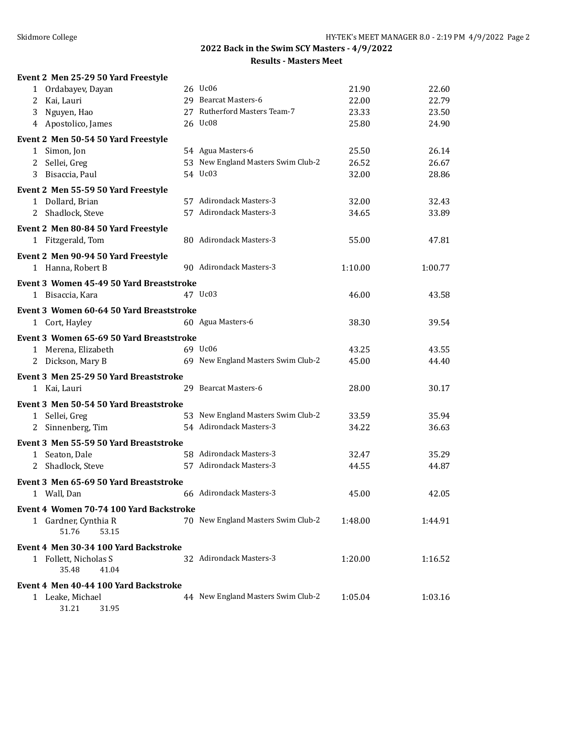| Event 2 Men 25-29 50 Yard Freestyle                      |                                                    |         |         |
|----------------------------------------------------------|----------------------------------------------------|---------|---------|
| 1 Ordabayev, Dayan                                       | 26 Uc06                                            | 21.90   | 22.60   |
| 2 Kai, Lauri                                             | 29 Bearcat Masters-6                               | 22.00   | 22.79   |
| 3 Nguyen, Hao                                            | 27 Rutherford Masters Team-7                       | 23.33   | 23.50   |
| 4 Apostolico, James                                      | 26 Uc08                                            | 25.80   | 24.90   |
| Event 2 Men 50-54 50 Yard Freestyle                      |                                                    |         |         |
| 1 Simon, Jon                                             | 54 Agua Masters-6                                  | 25.50   | 26.14   |
| 2 Sellei, Greg                                           | 53 New England Masters Swim Club-2                 | 26.52   | 26.67   |
| Bisaccia, Paul<br>3                                      | 54 Uc03                                            | 32.00   | 28.86   |
| Event 2 Men 55-59 50 Yard Freestyle                      |                                                    |         |         |
| 1 Dollard, Brian                                         | 57 Adirondack Masters-3                            | 32.00   | 32.43   |
| 2 Shadlock, Steve                                        | 57 Adirondack Masters-3                            | 34.65   | 33.89   |
| Event 2 Men 80-84 50 Yard Freestyle                      |                                                    |         |         |
| 1 Fitzgerald, Tom                                        | 80 Adirondack Masters-3                            | 55.00   | 47.81   |
| Event 2 Men 90-94 50 Yard Freestyle                      |                                                    |         |         |
| 1 Hanna, Robert B                                        | 90 Adirondack Masters-3                            | 1:10.00 | 1:00.77 |
| Event 3 Women 45-49 50 Yard Breaststroke                 |                                                    |         |         |
| 1 Bisaccia, Kara                                         | 47 Uc03                                            | 46.00   | 43.58   |
| Event 3 Women 60-64 50 Yard Breaststroke                 |                                                    |         |         |
| 1 Cort, Hayley                                           | 60 Agua Masters-6                                  | 38.30   | 39.54   |
| Event 3 Women 65-69 50 Yard Breaststroke                 |                                                    |         |         |
| 1 Merena, Elizabeth                                      | 69 Uc06                                            | 43.25   | 43.55   |
| 2 Dickson, Mary B                                        | 69 New England Masters Swim Club-2                 | 45.00   | 44.40   |
| Event 3 Men 25-29 50 Yard Breaststroke                   |                                                    |         |         |
| 1 Kai, Lauri                                             | 29 Bearcat Masters-6                               | 28.00   | 30.17   |
|                                                          |                                                    |         |         |
| Event 3 Men 50-54 50 Yard Breaststroke<br>1 Sellei, Greg | 53 New England Masters Swim Club-2                 | 33.59   | 35.94   |
| 2 Sinnenberg, Tim                                        | 54 Adirondack Masters-3                            | 34.22   | 36.63   |
|                                                          |                                                    |         |         |
| Event 3 Men 55-59 50 Yard Breaststroke                   |                                                    |         |         |
| 1 Seaton, Dale                                           | 58 Adirondack Masters-3<br>57 Adirondack Masters-3 | 32.47   | 35.29   |
| Shadlock, Steve<br>2                                     |                                                    | 44.55   | 44.87   |
| Event 3 Men 65-69 50 Yard Breaststroke                   |                                                    |         |         |
| 1 Wall, Dan                                              | 66 Adirondack Masters-3                            | 45.00   | 42.05   |
| Event 4 Women 70-74 100 Yard Backstroke                  |                                                    |         |         |
| 1 Gardner, Cynthia R<br>51.76<br>53.15                   | 70 New England Masters Swim Club-2                 | 1:48.00 | 1:44.91 |
| Event 4 Men 30-34 100 Yard Backstroke                    |                                                    |         |         |
| 1 Follett, Nicholas S                                    | 32 Adirondack Masters-3                            | 1:20.00 | 1:16.52 |
| 35.48<br>41.04                                           |                                                    |         |         |
| Event 4 Men 40-44 100 Yard Backstroke                    |                                                    |         |         |
| 1 Leake, Michael                                         | 44 New England Masters Swim Club-2                 | 1:05.04 | 1:03.16 |
| 31.21<br>31.95                                           |                                                    |         |         |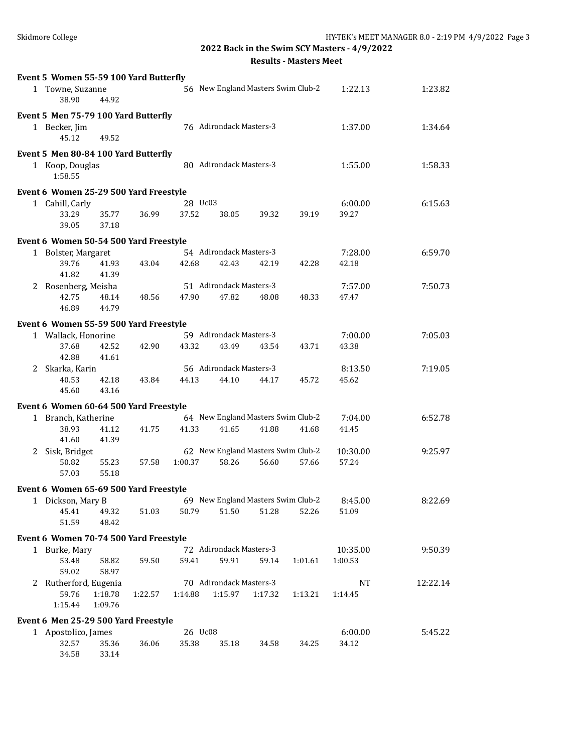|              | Event 5 Women 55-59 100 Yard Butterfly |         |         |                         |                                    |         |          |          |
|--------------|----------------------------------------|---------|---------|-------------------------|------------------------------------|---------|----------|----------|
|              | 1 Towne, Suzanne<br>38.90<br>44.92     |         |         |                         | 56 New England Masters Swim Club-2 |         | 1:22.13  | 1:23.82  |
|              | Event 5 Men 75-79 100 Yard Butterfly   |         |         |                         |                                    |         |          |          |
|              | 1 Becker, Jim<br>45.12<br>49.52        |         |         | 76 Adirondack Masters-3 |                                    |         | 1:37.00  | 1:34.64  |
|              | Event 5 Men 80-84 100 Yard Butterfly   |         |         |                         |                                    |         |          |          |
|              | 1 Koop, Douglas<br>1:58.55             |         |         | 80 Adirondack Masters-3 |                                    |         | 1:55.00  | 1:58.33  |
|              | Event 6 Women 25-29 500 Yard Freestyle |         |         |                         |                                    |         |          |          |
|              | 1 Cahill, Carly                        |         | 28 Uc03 |                         |                                    |         | 6:00.00  | 6:15.63  |
|              | 33.29<br>35.77<br>39.05<br>37.18       | 36.99   | 37.52   | 38.05                   | 39.32                              | 39.19   | 39.27    |          |
|              | Event 6 Women 50-54 500 Yard Freestyle |         |         |                         |                                    |         |          |          |
|              | 1 Bolster, Margaret                    |         |         | 54 Adirondack Masters-3 |                                    |         | 7:28.00  | 6:59.70  |
|              | 39.76<br>41.93                         | 43.04   | 42.68   | 42.43                   | 42.19                              | 42.28   | 42.18    |          |
|              | 41.82<br>41.39                         |         |         |                         |                                    |         |          |          |
|              | 2 Rosenberg, Meisha                    |         |         | 51 Adirondack Masters-3 |                                    |         | 7:57.00  | 7:50.73  |
|              | 42.75<br>48.14<br>46.89<br>44.79       | 48.56   | 47.90   | 47.82                   | 48.08                              | 48.33   | 47.47    |          |
|              | Event 6 Women 55-59 500 Yard Freestyle |         |         |                         |                                    |         |          |          |
|              | 1 Wallack, Honorine                    |         |         | 59 Adirondack Masters-3 |                                    |         | 7:00.00  | 7:05.03  |
|              | 37.68<br>42.52<br>41.61<br>42.88       | 42.90   | 43.32   | 43.49                   | 43.54                              | 43.71   | 43.38    |          |
|              | 2 Skarka, Karin                        |         |         | 56 Adirondack Masters-3 |                                    |         | 8:13.50  | 7:19.05  |
|              | 40.53<br>42.18<br>45.60<br>43.16       | 43.84   | 44.13   | 44.10                   | 44.17                              | 45.72   | 45.62    |          |
|              | Event 6 Women 60-64 500 Yard Freestyle |         |         |                         |                                    |         |          |          |
|              | 1 Branch, Katherine                    |         |         |                         | 64 New England Masters Swim Club-2 |         | 7:04.00  | 6:52.78  |
|              | 38.93<br>41.12<br>41.60<br>41.39       | 41.75   | 41.33   | 41.65                   | 41.88                              | 41.68   | 41.45    |          |
|              | 2 Sisk, Bridget                        |         |         |                         | 62 New England Masters Swim Club-2 |         | 10:30.00 | 9:25.97  |
|              | 50.82<br>55.23<br>55.18<br>57.03       | 57.58   | 1:00.37 | 58.26                   | 56.60                              | 57.66   | 57.24    |          |
|              | Event 6 Women 65-69 500 Yard Freestyle |         |         |                         |                                    |         |          |          |
| $\mathbf{1}$ | Dickson, Mary B                        |         |         |                         | 69 New England Masters Swim Club-2 |         | 8:45.00  | 8:22.69  |
|              | 45.41<br>49.32<br>51.59<br>48.42       | 51.03   | 50.79   | 51.50                   | 51.28                              | 52.26   | 51.09    |          |
|              | Event 6 Women 70-74 500 Yard Freestyle |         |         |                         |                                    |         |          |          |
|              | 1 Burke, Mary                          |         |         | 72 Adirondack Masters-3 |                                    |         | 10:35.00 | 9:50.39  |
|              | 53.48<br>58.82<br>59.02<br>58.97       | 59.50   | 59.41   | 59.91                   | 59.14                              | 1:01.61 | 1:00.53  |          |
|              | 2 Rutherford, Eugenia                  |         |         | 70 Adirondack Masters-3 |                                    |         | NT       | 12:22.14 |
|              | 59.76<br>1:18.78<br>1:15.44<br>1:09.76 | 1:22.57 | 1:14.88 | 1:15.97                 | 1:17.32                            | 1:13.21 | 1:14.45  |          |
|              | Event 6 Men 25-29 500 Yard Freestyle   |         |         |                         |                                    |         |          |          |
|              | 1 Apostolico, James                    |         | 26 Uc08 |                         |                                    |         | 6:00.00  | 5:45.22  |
|              | 32.57<br>35.36<br>34.58<br>33.14       | 36.06   | 35.38   | 35.18                   | 34.58                              | 34.25   | 34.12    |          |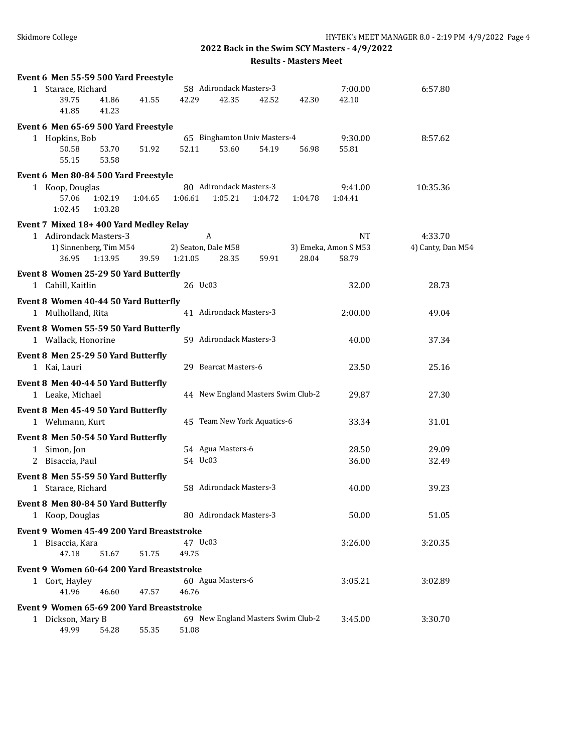| Event 6 Men 55-59 500 Yard Freestyle      |         |         |                     |                         |                                    |         |                      |                   |
|-------------------------------------------|---------|---------|---------------------|-------------------------|------------------------------------|---------|----------------------|-------------------|
| 1 Starace, Richard                        |         |         |                     | 58 Adirondack Masters-3 |                                    |         | 7:00.00              | 6:57.80           |
| 39.75                                     | 41.86   | 41.55   | 42.29               | 42.35                   | 42.52                              | 42.30   | 42.10                |                   |
| 41.85                                     | 41.23   |         |                     |                         |                                    |         |                      |                   |
| Event 6 Men 65-69 500 Yard Freestyle      |         |         |                     |                         |                                    |         |                      |                   |
| 1 Hopkins, Bob                            |         |         |                     |                         | 65 Binghamton Univ Masters-4       |         | 9:30.00              | 8:57.62           |
| 50.58                                     | 53.70   | 51.92   | 52.11               | 53.60                   | 54.19                              | 56.98   | 55.81                |                   |
| 55.15                                     | 53.58   |         |                     |                         |                                    |         |                      |                   |
| Event 6 Men 80-84 500 Yard Freestyle      |         |         |                     |                         |                                    |         |                      |                   |
| 1 Koop, Douglas                           |         |         |                     | 80 Adirondack Masters-3 |                                    |         | 9:41.00              | 10:35.36          |
| 57.06                                     | 1:02.19 | 1:04.65 | 1:06.61             | 1:05.21                 | 1:04.72                            | 1:04.78 | 1:04.41              |                   |
| 1:02.45                                   | 1:03.28 |         |                     |                         |                                    |         |                      |                   |
| Event 7 Mixed 18+400 Yard Medley Relay    |         |         |                     |                         |                                    |         |                      |                   |
| 1 Adirondack Masters-3                    |         |         | A                   |                         |                                    |         | NT                   | 4:33.70           |
| 1) Sinnenberg, Tim M54                    |         |         | 2) Seaton, Dale M58 |                         |                                    |         | 3) Emeka, Amon S M53 | 4) Canty, Dan M54 |
| 36.95                                     | 1:13.95 | 39.59   | 1:21.05             | 28.35                   | 59.91                              | 28.04   | 58.79                |                   |
| Event 8 Women 25-29 50 Yard Butterfly     |         |         |                     |                         |                                    |         |                      |                   |
| 1 Cahill, Kaitlin                         |         |         | 26 Uc03             |                         |                                    |         | 32.00                | 28.73             |
| Event 8 Women 40-44 50 Yard Butterfly     |         |         |                     |                         |                                    |         |                      |                   |
| 1 Mulholland, Rita                        |         |         |                     | 41 Adirondack Masters-3 |                                    |         | 2:00.00              | 49.04             |
| Event 8 Women 55-59 50 Yard Butterfly     |         |         |                     |                         |                                    |         |                      |                   |
| 1 Wallack, Honorine                       |         |         |                     | 59 Adirondack Masters-3 |                                    |         | 40.00                | 37.34             |
| Event 8 Men 25-29 50 Yard Butterfly       |         |         |                     |                         |                                    |         |                      |                   |
| 1 Kai, Lauri                              |         |         |                     | 29 Bearcat Masters-6    |                                    |         | 23.50                | 25.16             |
|                                           |         |         |                     |                         |                                    |         |                      |                   |
| Event 8 Men 40-44 50 Yard Butterfly       |         |         |                     |                         |                                    |         |                      |                   |
| 1 Leake, Michael                          |         |         |                     |                         | 44 New England Masters Swim Club-2 |         | 29.87                | 27.30             |
| Event 8 Men 45-49 50 Yard Butterfly       |         |         |                     |                         |                                    |         |                      |                   |
| 1 Wehmann, Kurt                           |         |         |                     |                         | 45 Team New York Aquatics-6        |         | 33.34                | 31.01             |
| Event 8 Men 50-54 50 Yard Butterfly       |         |         |                     |                         |                                    |         |                      |                   |
| 1 Simon, Jon                              |         |         |                     | 54 Agua Masters-6       |                                    |         | 28.50                | 29.09             |
| 2 Bisaccia, Paul                          |         |         | 54 Uc03             |                         |                                    |         | 36.00                | 32.49             |
| Event 8 Men 55-59 50 Yard Butterfly       |         |         |                     |                         |                                    |         |                      |                   |
| 1 Starace, Richard                        |         |         |                     | 58 Adirondack Masters-3 |                                    |         | 40.00                | 39.23             |
| Event 8 Men 80-84 50 Yard Butterfly       |         |         |                     |                         |                                    |         |                      |                   |
| 1 Koop, Douglas                           |         |         |                     | 80 Adirondack Masters-3 |                                    |         | 50.00                | 51.05             |
| Event 9 Women 45-49 200 Yard Breaststroke |         |         |                     |                         |                                    |         |                      |                   |
| 1 Bisaccia, Kara                          |         |         | 47 Uc03             |                         |                                    |         | 3:26.00              | 3:20.35           |
| 47.18                                     | 51.67   | 51.75   | 49.75               |                         |                                    |         |                      |                   |
| Event 9 Women 60-64 200 Yard Breaststroke |         |         |                     |                         |                                    |         |                      |                   |
| 1 Cort, Hayley                            |         |         |                     | 60 Agua Masters-6       |                                    |         | 3:05.21              | 3:02.89           |
| 41.96                                     | 46.60   | 47.57   | 46.76               |                         |                                    |         |                      |                   |
|                                           |         |         |                     |                         |                                    |         |                      |                   |
| Event 9 Women 65-69 200 Yard Breaststroke |         |         |                     |                         |                                    |         |                      |                   |
| 1 Dickson, Mary B<br>49.99                | 54.28   | 55.35   | 51.08               |                         | 69 New England Masters Swim Club-2 |         | 3:45.00              | 3:30.70           |
|                                           |         |         |                     |                         |                                    |         |                      |                   |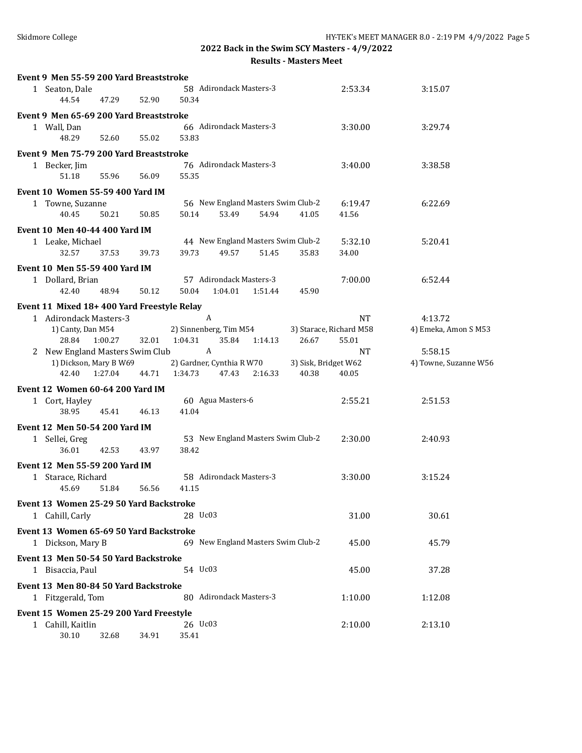| Event 9 Men 55-59 200 Yard Breaststroke    |                  |                                      |                         |                       |
|--------------------------------------------|------------------|--------------------------------------|-------------------------|-----------------------|
| 1 Seaton, Dale<br>44.54                    | 47.29<br>52.90   | 58 Adirondack Masters-3<br>50.34     | 2:53.34                 | 3:15.07               |
| Event 9 Men 65-69 200 Yard Breaststroke    |                  |                                      |                         |                       |
| 1 Wall, Dan                                |                  | 66 Adirondack Masters-3              | 3:30.00                 | 3:29.74               |
| 48.29                                      | 52.60<br>55.02   | 53.83                                |                         |                       |
|                                            |                  |                                      |                         |                       |
| Event 9 Men 75-79 200 Yard Breaststroke    |                  |                                      |                         |                       |
| 1 Becker, Jim                              |                  | 76 Adirondack Masters-3              | 3:40.00                 | 3:38.58               |
| 51.18                                      | 55.96<br>56.09   | 55.35                                |                         |                       |
| <b>Event 10 Women 55-59 400 Yard IM</b>    |                  |                                      |                         |                       |
| 1 Towne, Suzanne                           |                  | 56 New England Masters Swim Club-2   | 6:19.47                 | 6:22.69               |
| 40.45                                      | 50.21<br>50.85   | 50.14<br>53.49<br>54.94<br>41.05     | 41.56                   |                       |
| <b>Event 10 Men 40-44 400 Yard IM</b>      |                  |                                      |                         |                       |
| 1 Leake, Michael                           |                  | 44 New England Masters Swim Club-2   | 5:32.10                 | 5:20.41               |
| 32.57                                      | 39.73<br>37.53   | 39.73<br>49.57<br>51.45<br>35.83     | 34.00                   |                       |
|                                            |                  |                                      |                         |                       |
| <b>Event 10 Men 55-59 400 Yard IM</b>      |                  |                                      |                         |                       |
| 1 Dollard, Brian                           |                  | 57 Adirondack Masters-3              | 7:00.00                 | 6:52.44               |
| 42.40                                      | 48.94<br>50.12   | 50.04<br>1:04.01<br>1:51.44<br>45.90 |                         |                       |
| Event 11 Mixed 18+400 Yard Freestyle Relay |                  |                                      |                         |                       |
| 1 Adirondack Masters-3                     |                  | A                                    | <b>NT</b>               | 4:13.72               |
| 1) Canty, Dan M54                          |                  | 2) Sinnenberg, Tim M54               | 3) Starace, Richard M58 | 4) Emeka, Amon S M53  |
| 1:00.27<br>28.84                           | 32.01            | 1:04.31<br>35.84<br>26.67<br>1:14.13 | 55.01                   |                       |
| 2 New England Masters Swim Club            |                  | $\boldsymbol{A}$                     | <b>NT</b>               | 5:58.15               |
| 1) Dickson, Mary B W69                     |                  | 2) Gardner, Cynthia R W70            | 3) Sisk, Bridget W62    | 4) Towne, Suzanne W56 |
| 42.40                                      | 1:27.04<br>44.71 | 40.38<br>1:34.73<br>47.43<br>2:16.33 | 40.05                   |                       |
|                                            |                  |                                      |                         |                       |
| Event 12 Women 60-64 200 Yard IM           |                  |                                      |                         |                       |
| 1 Cort, Hayley                             |                  | 60 Agua Masters-6                    | 2:55.21                 | 2:51.53               |
| 38.95                                      | 45.41<br>46.13   | 41.04                                |                         |                       |
| <b>Event 12 Men 50-54 200 Yard IM</b>      |                  |                                      |                         |                       |
| 1 Sellei, Greg                             |                  | 53 New England Masters Swim Club-2   | 2:30.00                 | 2:40.93               |
| 36.01                                      | 42.53<br>43.97   | 38.42                                |                         |                       |
|                                            |                  |                                      |                         |                       |
| Event 12 Men 55-59 200 Yard IM             |                  |                                      |                         |                       |
| 1 Starace, Richard                         |                  | 58 Adirondack Masters-3              | 3:30.00                 | 3:15.24               |
| 45.69                                      | 51.84<br>56.56   | 41.15                                |                         |                       |
| Event 13 Women 25-29 50 Yard Backstroke    |                  |                                      |                         |                       |
| 1 Cahill, Carly                            |                  | 28 Uc03                              | 31.00                   | 30.61                 |
|                                            |                  |                                      |                         |                       |
| Event 13 Women 65-69 50 Yard Backstroke    |                  |                                      |                         |                       |
| 1 Dickson, Mary B                          |                  | 69 New England Masters Swim Club-2   | 45.00                   | 45.79                 |
| Event 13 Men 50-54 50 Yard Backstroke      |                  |                                      |                         |                       |
| 1 Bisaccia, Paul                           |                  | 54 Uc03                              | 45.00                   | 37.28                 |
| Event 13 Men 80-84 50 Yard Backstroke      |                  |                                      |                         |                       |
|                                            |                  | 80 Adirondack Masters-3              | 1:10.00                 | 1:12.08               |
| 1 Fitzgerald, Tom                          |                  |                                      |                         |                       |
| Event 15 Women 25-29 200 Yard Freestyle    |                  |                                      |                         |                       |
| 1 Cahill, Kaitlin                          |                  | 26 Uc03                              | 2:10.00                 | 2:13.10               |
| 30.10                                      | 32.68<br>34.91   | 35.41                                |                         |                       |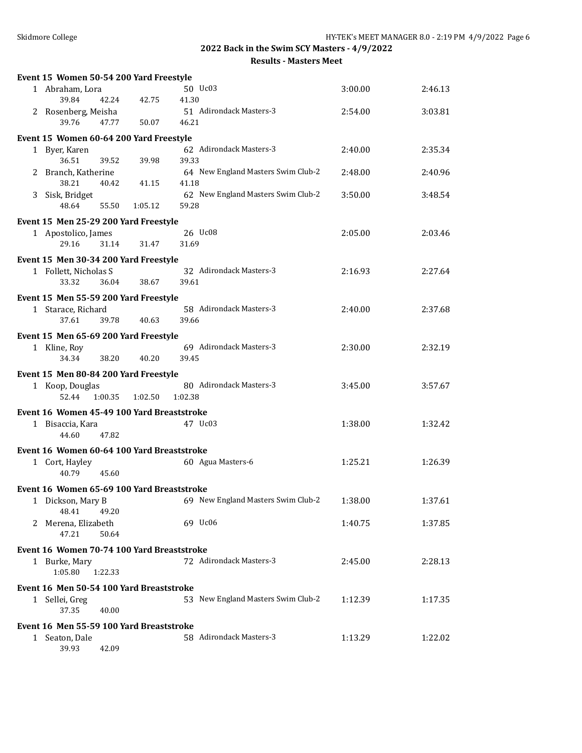| Event 15 Women 50-54 200 Yard Freestyle    |         |         |                                    |         |         |
|--------------------------------------------|---------|---------|------------------------------------|---------|---------|
| 1 Abraham, Lora                            |         |         | 50 Uc03                            | 3:00.00 | 2:46.13 |
| 39.84                                      | 42.24   | 42.75   | 41.30                              |         |         |
| 2 Rosenberg, Meisha                        |         |         | 51 Adirondack Masters-3            | 2:54.00 | 3:03.81 |
| 39.76                                      | 47.77   | 50.07   | 46.21                              |         |         |
| Event 15 Women 60-64 200 Yard Freestyle    |         |         |                                    |         |         |
| 1 Byer, Karen                              |         |         | 62 Adirondack Masters-3            | 2:40.00 | 2:35.34 |
| 36.51                                      | 39.52   | 39.98   | 39.33                              |         |         |
| 2 Branch, Katherine                        |         |         | 64 New England Masters Swim Club-2 | 2:48.00 | 2:40.96 |
| 38.21                                      | 40.42   | 41.15   | 41.18                              |         |         |
| 3 Sisk, Bridget                            |         |         | 62 New England Masters Swim Club-2 | 3:50.00 | 3:48.54 |
| 48.64                                      | 55.50   | 1:05.12 | 59.28                              |         |         |
| Event 15 Men 25-29 200 Yard Freestyle      |         |         |                                    |         |         |
| 1 Apostolico, James                        |         |         | 26 Uc08                            | 2:05.00 | 2:03.46 |
| 29.16                                      | 31.14   | 31.47   | 31.69                              |         |         |
|                                            |         |         |                                    |         |         |
| Event 15 Men 30-34 200 Yard Freestyle      |         |         |                                    |         |         |
| 1 Follett, Nicholas S                      |         |         | 32 Adirondack Masters-3            | 2:16.93 | 2:27.64 |
| 33.32                                      | 36.04   | 38.67   | 39.61                              |         |         |
| Event 15 Men 55-59 200 Yard Freestyle      |         |         |                                    |         |         |
| 1 Starace, Richard                         |         |         | 58 Adirondack Masters-3            | 2:40.00 | 2:37.68 |
| 37.61                                      | 39.78   | 40.63   | 39.66                              |         |         |
| Event 15 Men 65-69 200 Yard Freestyle      |         |         |                                    |         |         |
| 1 Kline, Roy                               |         |         | 69 Adirondack Masters-3            | 2:30.00 | 2:32.19 |
| 34.34                                      | 38.20   | 40.20   | 39.45                              |         |         |
|                                            |         |         |                                    |         |         |
| Event 15 Men 80-84 200 Yard Freestyle      |         |         |                                    |         |         |
| 1 Koop, Douglas                            |         |         | 80 Adirondack Masters-3            | 3:45.00 | 3:57.67 |
| 52.44                                      | 1:00.35 | 1:02.50 | 1:02.38                            |         |         |
| Event 16 Women 45-49 100 Yard Breaststroke |         |         |                                    |         |         |
| 1 Bisaccia, Kara                           |         |         | 47 Uc03                            | 1:38.00 | 1:32.42 |
| 44.60                                      | 47.82   |         |                                    |         |         |
| Event 16 Women 60-64 100 Yard Breaststroke |         |         |                                    |         |         |
| 1 Cort, Hayley                             |         |         |                                    |         |         |
|                                            |         |         |                                    | 1:25.21 | 1:26.39 |
| 40.79                                      | 45.60   |         | 60 Agua Masters-6                  |         |         |
|                                            |         |         |                                    |         |         |
| Event 16 Women 65-69 100 Yard Breaststroke |         |         |                                    |         |         |
| 1 Dickson, Mary B                          |         |         | 69 New England Masters Swim Club-2 | 1:38.00 | 1:37.61 |
| 48.41                                      | 49.20   |         |                                    |         |         |
| 2 Merena, Elizabeth                        |         |         | 69 Uc06                            | 1:40.75 | 1:37.85 |
| 47.21                                      | 50.64   |         |                                    |         |         |
| Event 16 Women 70-74 100 Yard Breaststroke |         |         |                                    |         |         |
| 1 Burke, Mary                              |         |         | 72 Adirondack Masters-3            | 2:45.00 | 2:28.13 |
| 1:05.80                                    | 1:22.33 |         |                                    |         |         |
| Event 16 Men 50-54 100 Yard Breaststroke   |         |         |                                    |         |         |
| 1 Sellei, Greg                             |         |         | 53 New England Masters Swim Club-2 | 1:12.39 | 1:17.35 |
| 37.35                                      | 40.00   |         |                                    |         |         |
|                                            |         |         |                                    |         |         |
| Event 16 Men 55-59 100 Yard Breaststroke   |         |         | 58 Adirondack Masters-3            |         |         |
| 1 Seaton, Dale<br>39.93                    | 42.09   |         |                                    | 1:13.29 | 1:22.02 |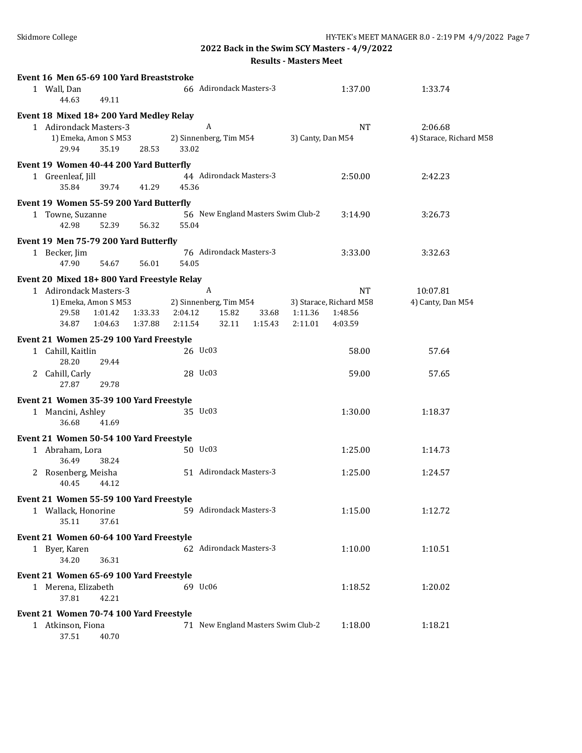**2022 Back in the Swim SCY Masters - 4/9/2022**

**Results - Masters Meet**

| Event 16 Men 65-69 100 Yard Breaststroke   |         |         |                                    |         |                   |                         |                         |
|--------------------------------------------|---------|---------|------------------------------------|---------|-------------------|-------------------------|-------------------------|
| 1 Wall, Dan<br>44.63<br>49.11              |         |         | 66 Adirondack Masters-3            |         |                   | 1:37.00                 | 1:33.74                 |
| Event 18 Mixed 18+200 Yard Medley Relay    |         |         |                                    |         |                   |                         |                         |
| 1 Adirondack Masters-3                     |         |         | A                                  |         |                   | <b>NT</b>               | 2:06.68                 |
| 1) Emeka, Amon S M53                       |         |         | 2) Sinnenberg, Tim M54             |         | 3) Canty, Dan M54 |                         | 4) Starace, Richard M58 |
| 35.19<br>29.94                             | 28.53   | 33.02   |                                    |         |                   |                         |                         |
| Event 19 Women 40-44 200 Yard Butterfly    |         |         |                                    |         |                   |                         |                         |
| 1 Greenleaf, Jill                          |         |         | 44 Adirondack Masters-3            |         |                   | 2:50.00                 | 2:42.23                 |
| 35.84<br>39.74                             | 41.29   | 45.36   |                                    |         |                   |                         |                         |
| Event 19 Women 55-59 200 Yard Butterfly    |         |         |                                    |         |                   |                         |                         |
|                                            |         |         | 56 New England Masters Swim Club-2 |         |                   | 3:14.90                 | 3:26.73                 |
| 1 Towne, Suzanne<br>42.98<br>52.39         | 56.32   | 55.04   |                                    |         |                   |                         |                         |
|                                            |         |         |                                    |         |                   |                         |                         |
| Event 19 Men 75-79 200 Yard Butterfly      |         |         |                                    |         |                   |                         |                         |
| 1 Becker, Jim                              |         |         | 76 Adirondack Masters-3            |         |                   | 3:33.00                 | 3:32.63                 |
| 47.90<br>54.67                             | 56.01   | 54.05   |                                    |         |                   |                         |                         |
| Event 20 Mixed 18+800 Yard Freestyle Relay |         |         |                                    |         |                   |                         |                         |
| 1 Adirondack Masters-3                     |         |         | $\boldsymbol{A}$                   |         |                   | NT.                     | 10:07.81                |
| 1) Emeka, Amon S M53                       |         |         | 2) Sinnenberg, Tim M54             |         |                   | 3) Starace, Richard M58 | 4) Canty, Dan M54       |
| 29.58<br>1:01.42                           | 1:33.33 | 2:04.12 | 15.82                              | 33.68   | 1:11.36           | 1:48.56                 |                         |
| 34.87<br>1:04.63                           | 1:37.88 | 2:11.54 | 32.11                              | 1:15.43 | 2:11.01           | 4:03.59                 |                         |
| Event 21 Women 25-29 100 Yard Freestyle    |         |         |                                    |         |                   |                         |                         |
| 1 Cahill, Kaitlin                          |         |         | 26 Uc03                            |         |                   | 58.00                   | 57.64                   |
| 28.20<br>29.44                             |         |         |                                    |         |                   |                         |                         |
| 2 Cahill, Carly                            |         |         | 28 Uc03                            |         |                   | 59.00                   | 57.65                   |
| 27.87<br>29.78                             |         |         |                                    |         |                   |                         |                         |
| Event 21 Women 35-39 100 Yard Freestyle    |         |         |                                    |         |                   |                         |                         |
| 1 Mancini, Ashley                          |         |         | 35 Uc03                            |         |                   | 1:30.00                 | 1:18.37                 |
| 36.68<br>41.69                             |         |         |                                    |         |                   |                         |                         |
|                                            |         |         |                                    |         |                   |                         |                         |
| Event 21 Women 50-54 100 Yard Freestyle    |         |         |                                    |         |                   |                         |                         |
| 1 Abraham, Lora                            |         |         | 50 Uc03                            |         |                   | 1:25.00                 | 1:14.73                 |
| 36.49<br>38.24                             |         |         |                                    |         |                   |                         |                         |
| 2 Rosenberg, Meisha                        |         |         | 51 Adirondack Masters-3            |         |                   | 1:25.00                 | 1:24.57                 |
| 40.45<br>44.12                             |         |         |                                    |         |                   |                         |                         |
| Event 21 Women 55-59 100 Yard Freestyle    |         |         |                                    |         |                   |                         |                         |
| 1 Wallack, Honorine                        |         |         | 59 Adirondack Masters-3            |         |                   | 1:15.00                 | 1:12.72                 |
| 35.11<br>37.61                             |         |         |                                    |         |                   |                         |                         |
| Event 21 Women 60-64 100 Yard Freestyle    |         |         |                                    |         |                   |                         |                         |
| 1 Byer, Karen                              |         |         | 62 Adirondack Masters-3            |         |                   | 1:10.00                 | 1:10.51                 |
| 34.20<br>36.31                             |         |         |                                    |         |                   |                         |                         |
| Event 21 Women 65-69 100 Yard Freestyle    |         |         |                                    |         |                   |                         |                         |
|                                            |         |         | 69 Uc06                            |         |                   |                         |                         |
| 1 Merena, Elizabeth<br>37.81<br>42.21      |         |         |                                    |         |                   | 1:18.52                 | 1:20.02                 |
|                                            |         |         |                                    |         |                   |                         |                         |
| Event 21 Women 70-74 100 Yard Freestyle    |         |         |                                    |         |                   |                         |                         |
| 1 Atkinson, Fiona                          |         |         | 71 New England Masters Swim Club-2 |         |                   | 1:18.00                 | 1:18.21                 |
| 37.51<br>40.70                             |         |         |                                    |         |                   |                         |                         |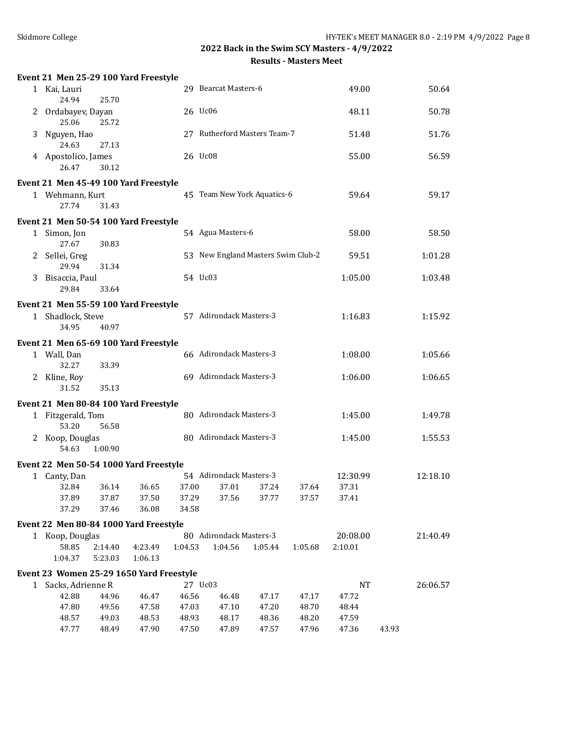|   | Event 21 Men 25-29 100 Yard Freestyle    |                    |                    |                |                                    |         |         |           |       |          |
|---|------------------------------------------|--------------------|--------------------|----------------|------------------------------------|---------|---------|-----------|-------|----------|
|   | 1 Kai, Lauri<br>24.94                    | 25.70              |                    |                | 29 Bearcat Masters-6               |         |         | 49.00     |       | 50.64    |
|   | 2 Ordabayev, Dayan<br>25.06              | 25.72              |                    | 26 Uc06        |                                    |         | 48.11   |           | 50.78 |          |
| 3 | Nguyen, Hao<br>24.63                     | 27.13              |                    |                | 27 Rutherford Masters Team-7       |         |         | 51.48     |       | 51.76    |
|   | 4 Apostolico, James<br>26.47             | 30.12              |                    | 26 Uc08        |                                    |         |         | 55.00     |       | 56.59    |
|   | Event 21 Men 45-49 100 Yard Freestyle    |                    |                    |                |                                    |         |         |           |       |          |
|   | 1 Wehmann, Kurt<br>27.74                 | 31.43              |                    |                | 45 Team New York Aquatics-6        |         |         | 59.64     |       | 59.17    |
|   | Event 21 Men 50-54 100 Yard Freestyle    |                    |                    |                |                                    |         |         |           |       |          |
|   | 1 Simon, Jon<br>27.67                    | 30.83              |                    |                | 54 Agua Masters-6                  |         |         | 58.00     |       | 58.50    |
|   | 2 Sellei, Greg<br>29.94                  | 31.34              |                    |                | 53 New England Masters Swim Club-2 |         |         | 59.51     |       | 1:01.28  |
|   | 3 Bisaccia, Paul<br>29.84                | 33.64              |                    | 54 Uc03        |                                    |         |         | 1:05.00   |       | 1:03.48  |
|   | Event 21 Men 55-59 100 Yard Freestyle    |                    |                    |                |                                    |         |         |           |       |          |
|   | 1 Shadlock, Steve<br>34.95               | 40.97              |                    |                | 57 Adirondack Masters-3            |         |         | 1:16.83   |       | 1:15.92  |
|   | Event 21 Men 65-69 100 Yard Freestyle    |                    |                    |                |                                    |         |         |           |       |          |
|   | 1 Wall, Dan<br>32.27                     | 33.39              |                    |                | 66 Adirondack Masters-3            |         |         | 1:08.00   |       | 1:05.66  |
|   | 2 Kline, Roy<br>31.52                    | 35.13              |                    |                | 69 Adirondack Masters-3            |         |         | 1:06.00   |       | 1:06.65  |
|   | Event 21 Men 80-84 100 Yard Freestyle    |                    |                    |                |                                    |         |         |           |       |          |
|   | 1 Fitzgerald, Tom<br>53.20               | 56.58              |                    |                | 80 Adirondack Masters-3            |         |         | 1:45.00   |       | 1:49.78  |
|   | 2 Koop, Douglas<br>54.63                 | 1:00.90            |                    |                | 80 Adirondack Masters-3            |         |         | 1:45.00   |       | 1:55.53  |
|   | Event 22 Men 50-54 1000 Yard Freestyle   |                    |                    |                |                                    |         |         |           |       |          |
|   | 1 Canty, Dan                             |                    |                    |                | 54 Adirondack Masters-3            |         |         | 12:30.99  |       | 12:18.10 |
|   | 32.84                                    | 36.14              | 36.65              | 37.00          | 37.01                              | 37.24   | 37.64   | 37.31     |       |          |
|   | 37.89<br>37.29                           | 37.87<br>37.46     | 37.50<br>36.08     | 37.29<br>34.58 | 37.56                              | 37.77   | 37.57   | 37.41     |       |          |
|   | Event 22 Men 80-84 1000 Yard Freestyle   |                    |                    |                |                                    |         |         |           |       |          |
|   | 1 Koop, Douglas                          |                    |                    |                | 80 Adirondack Masters-3            |         |         | 20:08.00  |       | 21:40.49 |
|   | 58.85<br>1:04.37                         | 2:14.40<br>5:23.03 | 4:23.49<br>1:06.13 | 1:04.53        | 1:04.56                            | 1:05.44 | 1:05.68 | 2:10.01   |       |          |
|   | Event 23 Women 25-29 1650 Yard Freestyle |                    |                    |                |                                    |         |         |           |       |          |
|   | 1 Sacks, Adrienne R                      |                    |                    |                | 27 Uc03                            |         |         | <b>NT</b> |       | 26:06.57 |
|   | 42.88                                    | 44.96              | 46.47              | 46.56          | 46.48                              | 47.17   | 47.17   | 47.72     |       |          |
|   | 47.80                                    | 49.56              | 47.58              | 47.03          | 47.10                              | 47.20   | 48.70   | 48.44     |       |          |
|   | 48.57                                    | 49.03              | 48.53              | 48.93          | 48.17                              | 48.36   | 48.20   | 47.59     |       |          |
|   | 47.77                                    | 48.49              | 47.90              | 47.50          | 47.89                              | 47.57   | 47.96   | 47.36     | 43.93 |          |